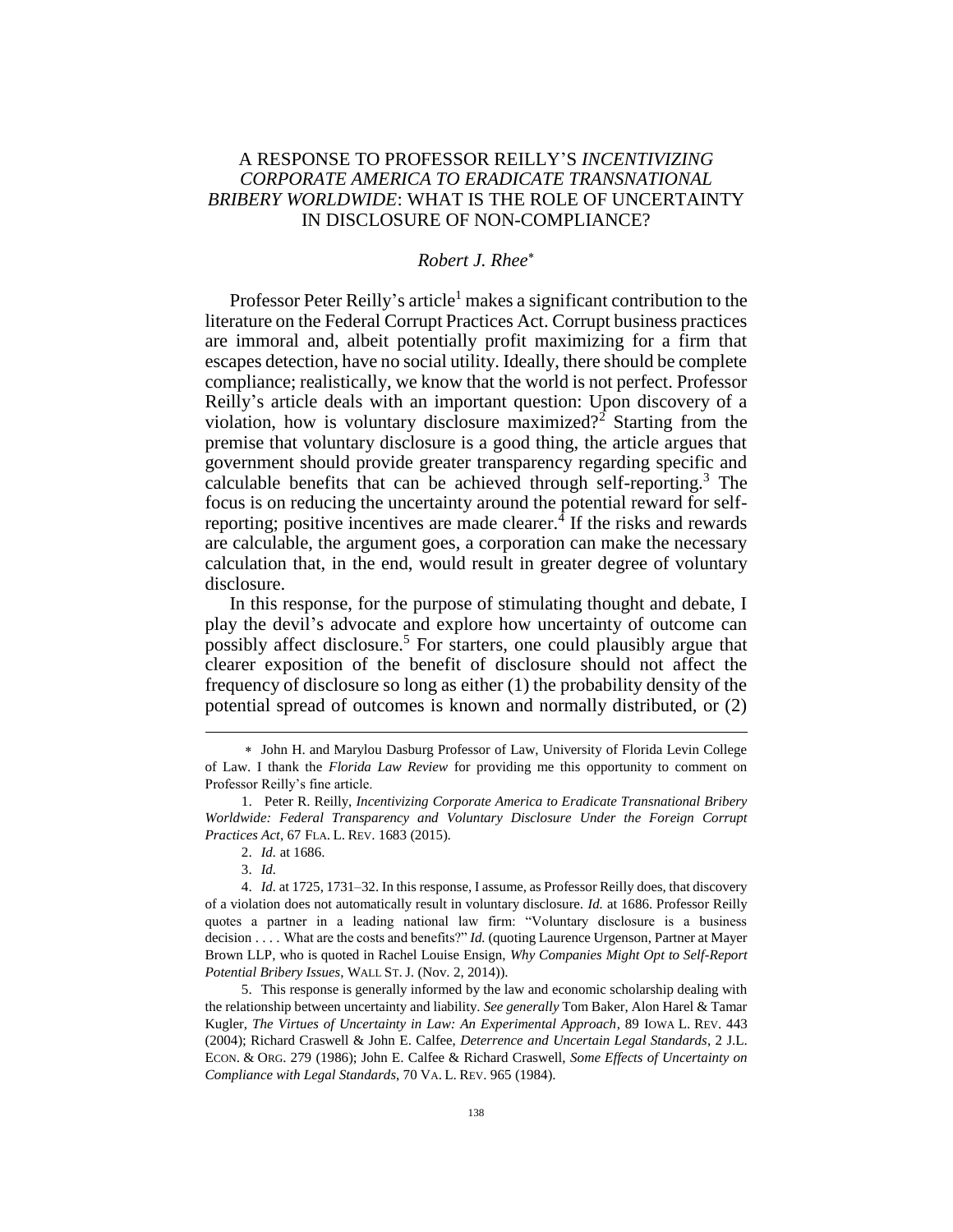## A RESPONSE TO PROFESSOR REILLY'S *INCENTIVIZING CORPORATE AMERICA TO ERADICATE TRANSNATIONAL BRIBERY WORLDWIDE*: WHAT IS THE ROLE OF UNCERTAINTY IN DISCLOSURE OF NON-COMPLIANCE?

## *Robert J. Rhee*

Professor Peter Reilly's article<sup>1</sup> makes a significant contribution to the literature on the Federal Corrupt Practices Act. Corrupt business practices are immoral and, albeit potentially profit maximizing for a firm that escapes detection, have no social utility. Ideally, there should be complete compliance; realistically, we know that the world is not perfect. Professor Reilly's article deals with an important question: Upon discovery of a violation, how is voluntary disclosure maximized?<sup>2</sup> Starting from the premise that voluntary disclosure is a good thing, the article argues that government should provide greater transparency regarding specific and calculable benefits that can be achieved through self-reporting.<sup>3</sup> The focus is on reducing the uncertainty around the potential reward for selfreporting; positive incentives are made clearer.<sup>4</sup> If the risks and rewards are calculable, the argument goes, a corporation can make the necessary calculation that, in the end, would result in greater degree of voluntary disclosure.

In this response, for the purpose of stimulating thought and debate, I play the devil's advocate and explore how uncertainty of outcome can possibly affect disclosure.<sup>5</sup> For starters, one could plausibly argue that clearer exposition of the benefit of disclosure should not affect the frequency of disclosure so long as either (1) the probability density of the potential spread of outcomes is known and normally distributed, or (2)

 $\overline{a}$ 

John H. and Marylou Dasburg Professor of Law, University of Florida Levin College of Law. I thank the *Florida Law Review* for providing me this opportunity to comment on Professor Reilly's fine article.

<sup>1.</sup> Peter R. Reilly, *Incentivizing Corporate America to Eradicate Transnational Bribery Worldwide: Federal Transparency and Voluntary Disclosure Under the Foreign Corrupt Practices Act*, 67 FLA. L. REV. 1683 (2015).

<sup>2.</sup> *Id.* at 1686.

<sup>3.</sup> *Id.*

<sup>4.</sup> *Id.* at 1725, 1731–32. In this response, I assume, as Professor Reilly does, that discovery of a violation does not automatically result in voluntary disclosure. *Id.* at 1686. Professor Reilly quotes a partner in a leading national law firm: "Voluntary disclosure is a business decision . . . . What are the costs and benefits?" *Id.* (quoting Laurence Urgenson, Partner at Mayer Brown LLP, who is quoted in Rachel Louise Ensign, *Why Companies Might Opt to Self-Report Potential Bribery Issues*, WALL ST. J. (Nov. 2, 2014)).

<sup>5.</sup> This response is generally informed by the law and economic scholarship dealing with the relationship between uncertainty and liability. *See generally* Tom Baker, Alon Harel & Tamar Kugler, *The Virtues of Uncertainty in Law: An Experimental Approach*, 89 IOWA L. REV. 443 (2004); Richard Craswell & John E. Calfee, *Deterrence and Uncertain Legal Standards*, 2 J.L. ECON. & ORG. 279 (1986); John E. Calfee & Richard Craswell, *Some Effects of Uncertainty on Compliance with Legal Standards*, 70 VA. L. REV. 965 (1984).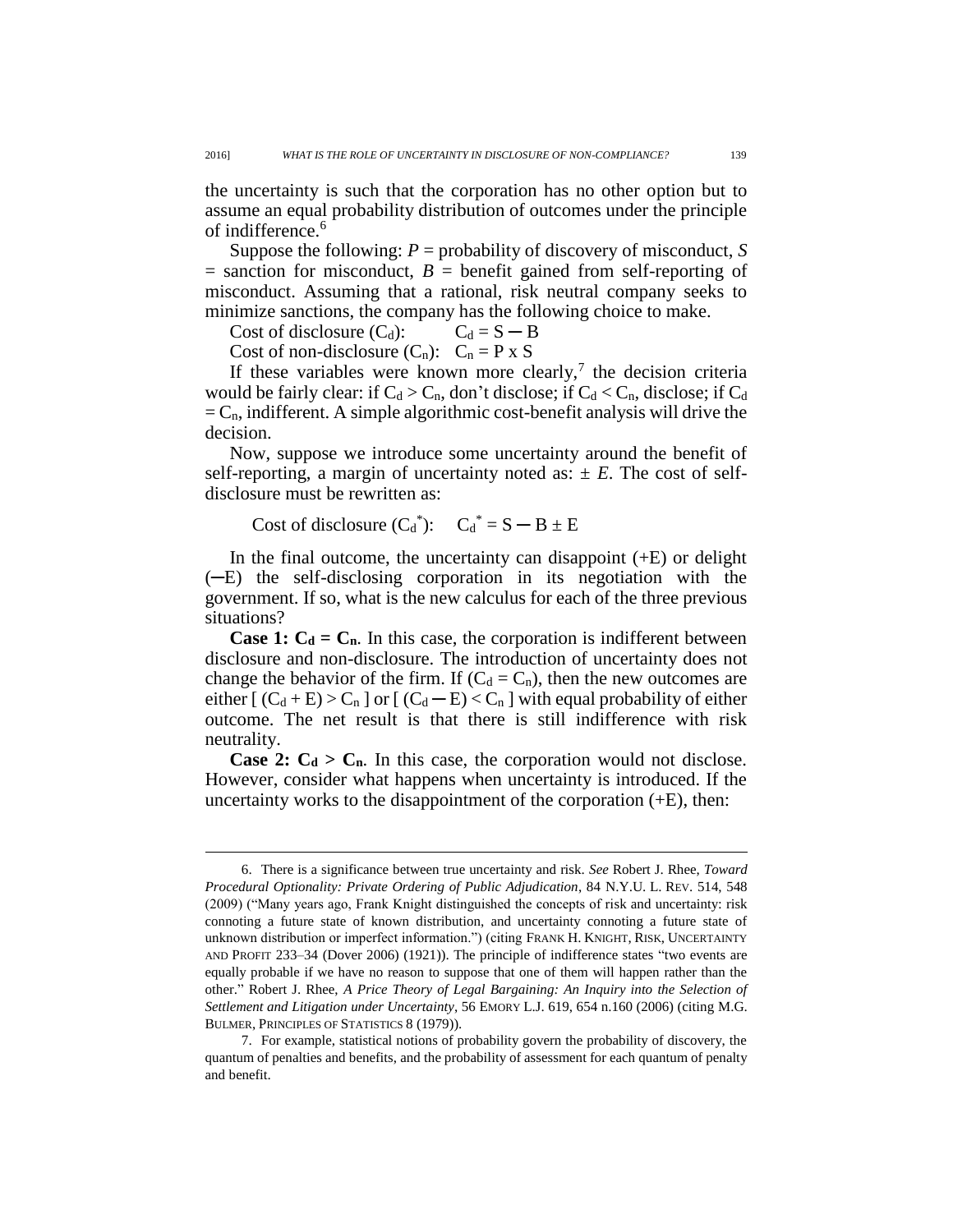the uncertainty is such that the corporation has no other option but to assume an equal probability distribution of outcomes under the principle of indifference.<sup>6</sup>

Suppose the following: *P* = probability of discovery of misconduct, *S*  $=$  sanction for misconduct,  $B =$  benefit gained from self-reporting of misconduct. Assuming that a rational, risk neutral company seeks to minimize sanctions, the company has the following choice to make.

Cost of disclosure  $(C_d)$ :  $C_d = S - B$ 

Cost of non-disclosure  $(C_n)$ :  $C_n = P \times S$ 

If these variables were known more clearly,<sup>7</sup> the decision criteria would be fairly clear: if  $C_d > C_n$ , don't disclose; if  $C_d < C_n$ , disclose; if  $C_d$  $= C_n$ , indifferent. A simple algorithmic cost-benefit analysis will drive the decision.

Now, suppose we introduce some uncertainty around the benefit of self-reporting, a margin of uncertainty noted as:  $\pm E$ . The cost of selfdisclosure must be rewritten as:

Cost of disclosure  $(C_d^*)$ :  $C_d^* = S - B \pm E$ 

 $\overline{a}$ 

In the final outcome, the uncertainty can disappoint  $(+E)$  or delight (─E) the self-disclosing corporation in its negotiation with the government. If so, what is the new calculus for each of the three previous situations?

**Case 1:**  $C_d = C_n$ . In this case, the corporation is indifferent between disclosure and non-disclosure. The introduction of uncertainty does not change the behavior of the firm. If  $(C_d = C_n)$ , then the new outcomes are either  $[(C_d + E) > C_n]$  or  $[(C_d - E) < C_n]$  with equal probability of either outcome. The net result is that there is still indifference with risk neutrality.

**Case 2:**  $C_d > C_n$ . In this case, the corporation would not disclose. However, consider what happens when uncertainty is introduced. If the uncertainty works to the disappointment of the corporation  $(+E)$ , then:

<sup>6.</sup> There is a significance between true uncertainty and risk. *See* Robert J. Rhee, *Toward Procedural Optionality: Private Ordering of Public Adjudication*, 84 N.Y.U. L. REV. 514, 548 (2009) ("Many years ago, Frank Knight distinguished the concepts of risk and uncertainty: risk connoting a future state of known distribution, and uncertainty connoting a future state of unknown distribution or imperfect information.") (citing FRANK H. KNIGHT, RISK, UNCERTAINTY AND PROFIT 233–34 (Dover 2006) (1921)). The principle of indifference states "two events are equally probable if we have no reason to suppose that one of them will happen rather than the other." Robert J. Rhee, *A Price Theory of Legal Bargaining: An Inquiry into the Selection of Settlement and Litigation under Uncertainty*, 56 EMORY L.J. 619, 654 n.160 (2006) (citing M.G. BULMER, PRINCIPLES OF STATISTICS 8 (1979)).

<sup>7.</sup> For example, statistical notions of probability govern the probability of discovery, the quantum of penalties and benefits, and the probability of assessment for each quantum of penalty and benefit.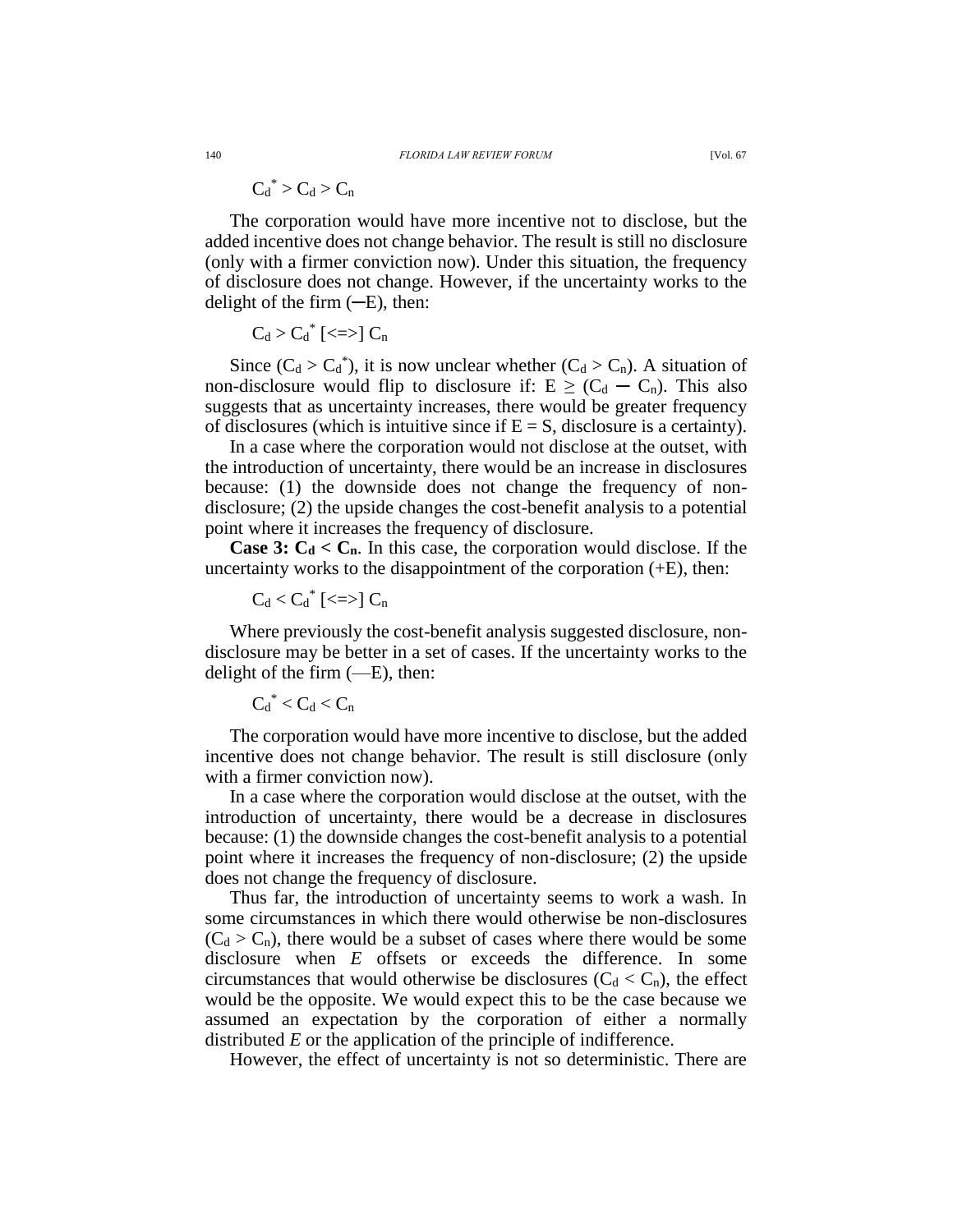$$
{C_d}^*\!>C_d\!>C_n
$$

The corporation would have more incentive not to disclose, but the added incentive does not change behavior. The result is still no disclosure (only with a firmer conviction now). Under this situation, the frequency of disclosure does not change. However, if the uncertainty works to the delight of the firm  $(-E)$ , then:

$$
C_d > {C_d}^*\; [\text{<=}] \; C_n
$$

Since  $(C_d > C_d^*$ , it is now unclear whether  $(C_d > C_n)$ . A situation of non-disclosure would flip to disclosure if:  $E \geq (C_d - C_n)$ . This also suggests that as uncertainty increases, there would be greater frequency of disclosures (which is intuitive since if  $E = S$ , disclosure is a certainty).

In a case where the corporation would not disclose at the outset, with the introduction of uncertainty, there would be an increase in disclosures because: (1) the downside does not change the frequency of nondisclosure; (2) the upside changes the cost-benefit analysis to a potential point where it increases the frequency of disclosure.

**Case 3:**  $C_d < C_n$ . In this case, the corporation would disclose. If the uncertainty works to the disappointment of the corporation  $(+E)$ , then:

$$
C_d < {C_d}^*\; [\text{<=}] \; C_n
$$

Where previously the cost-benefit analysis suggested disclosure, nondisclosure may be better in a set of cases. If the uncertainty works to the delight of the firm  $(-E)$ , then:

$$
{C_d}^* < C_d < C_n
$$

The corporation would have more incentive to disclose, but the added incentive does not change behavior. The result is still disclosure (only with a firmer conviction now).

In a case where the corporation would disclose at the outset, with the introduction of uncertainty, there would be a decrease in disclosures because: (1) the downside changes the cost-benefit analysis to a potential point where it increases the frequency of non-disclosure; (2) the upside does not change the frequency of disclosure.

Thus far, the introduction of uncertainty seems to work a wash. In some circumstances in which there would otherwise be non-disclosures  $(C_d > C_n)$ , there would be a subset of cases where there would be some disclosure when *E* offsets or exceeds the difference. In some circumstances that would otherwise be disclosures  $(C_d < C_n)$ , the effect would be the opposite. We would expect this to be the case because we assumed an expectation by the corporation of either a normally distributed *E* or the application of the principle of indifference.

However, the effect of uncertainty is not so deterministic. There are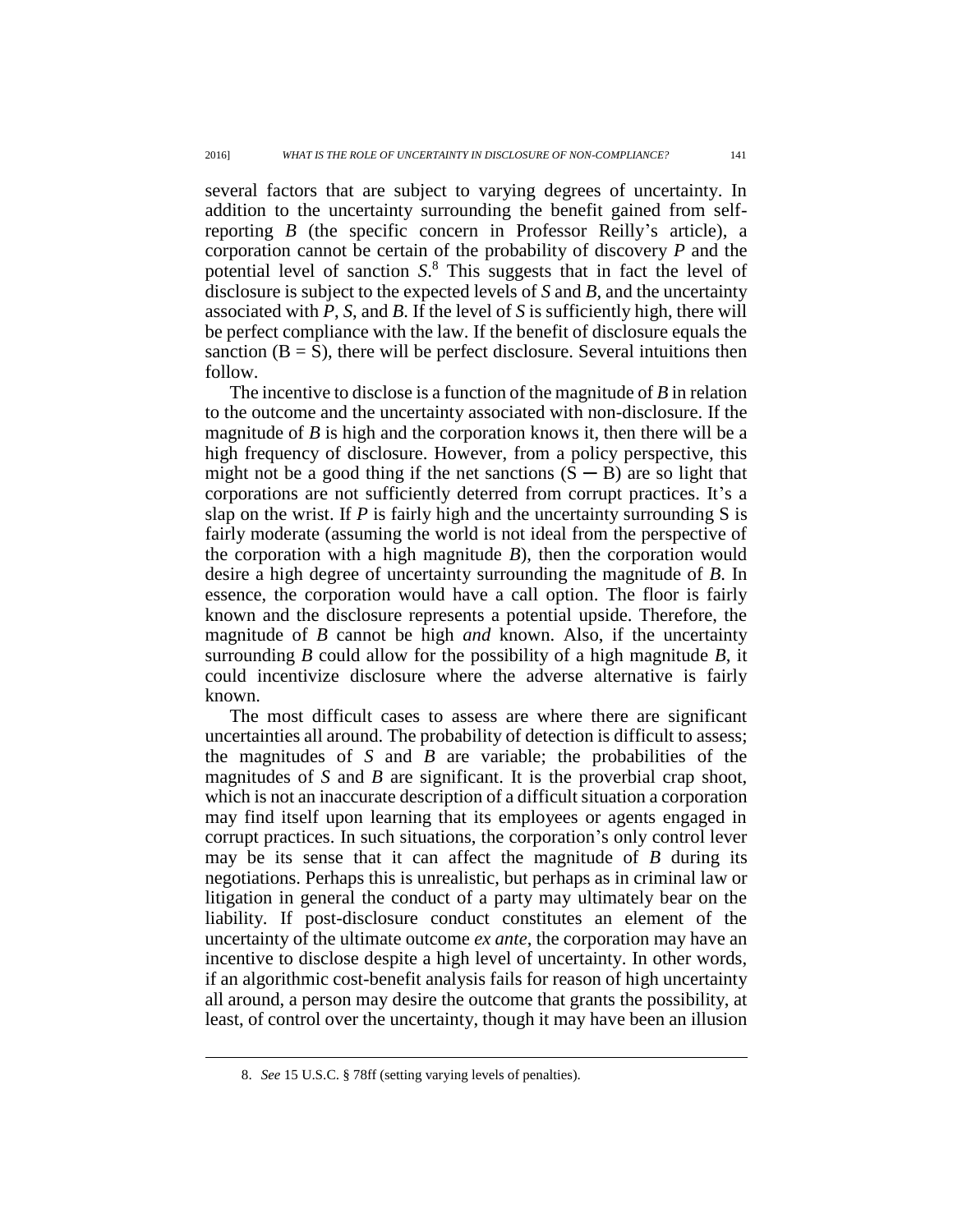several factors that are subject to varying degrees of uncertainty. In addition to the uncertainty surrounding the benefit gained from selfreporting *B* (the specific concern in Professor Reilly's article), a corporation cannot be certain of the probability of discovery *P* and the potential level of sanction *S*. <sup>8</sup> This suggests that in fact the level of disclosure is subject to the expected levels of *S* and *B*, and the uncertainty associated with *P*, *S*, and *B*. If the level of *S* is sufficiently high, there will be perfect compliance with the law. If the benefit of disclosure equals the sanction  $(B = S)$ , there will be perfect disclosure. Several intuitions then follow.

The incentive to disclose is a function of the magnitude of *B* in relation to the outcome and the uncertainty associated with non-disclosure. If the magnitude of *B* is high and the corporation knows it, then there will be a high frequency of disclosure. However, from a policy perspective, this might not be a good thing if the net sanctions  $(S - B)$  are so light that corporations are not sufficiently deterred from corrupt practices. It's a slap on the wrist. If *P* is fairly high and the uncertainty surrounding S is fairly moderate (assuming the world is not ideal from the perspective of the corporation with a high magnitude *B*), then the corporation would desire a high degree of uncertainty surrounding the magnitude of *B*. In essence, the corporation would have a call option. The floor is fairly known and the disclosure represents a potential upside. Therefore, the magnitude of *B* cannot be high *and* known. Also, if the uncertainty surrounding *B* could allow for the possibility of a high magnitude *B*, it could incentivize disclosure where the adverse alternative is fairly known.

The most difficult cases to assess are where there are significant uncertainties all around. The probability of detection is difficult to assess; the magnitudes of *S* and *B* are variable; the probabilities of the magnitudes of *S* and *B* are significant. It is the proverbial crap shoot, which is not an inaccurate description of a difficult situation a corporation may find itself upon learning that its employees or agents engaged in corrupt practices. In such situations, the corporation's only control lever may be its sense that it can affect the magnitude of *B* during its negotiations. Perhaps this is unrealistic, but perhaps as in criminal law or litigation in general the conduct of a party may ultimately bear on the liability. If post-disclosure conduct constitutes an element of the uncertainty of the ultimate outcome *ex ante*, the corporation may have an incentive to disclose despite a high level of uncertainty. In other words, if an algorithmic cost-benefit analysis fails for reason of high uncertainty all around, a person may desire the outcome that grants the possibility, at least, of control over the uncertainty, though it may have been an illusion

 $\overline{a}$ 

<sup>8.</sup> *See* 15 U.S.C. § 78ff (setting varying levels of penalties).